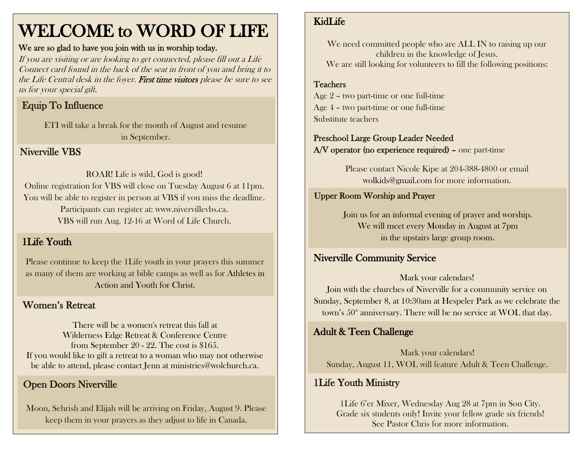# WELCOME to WORD OF LIFE

#### We are so glad to have you join with us in worship today.

If you are visiting or are looking to get connected, please fill out a Life Connect card found in the back of the seat in front of you and bring it to the Life Central desk in the foyer. First time visitors please be sure to see us for your special gift.

# Equip To Influence

ETI will take a break for the month of August and resume in September.

Niverville VBS

#### ROAR! Life is wild, God is good! Online registration for VBS will close on Tuesday August 6 at 11pm. You will be able to register in person at VBS if you miss the deadline. Participants can register at: www.nivervillevbs.ca. VBS will run Aug. 12-16 at Word of Life Church.

### 1Life Youth

Please continue to keep the 1Life youth in your prayers this summer as many of them are working at bible camps as well as for Athletes in Action and Youth for Christ.

### Women's Retreat

There will be a women's retreat this fall at Wilderness Edge Retreat & Conference Centre from September 20 - 22. The cost is \$165. If you would like to gift a retreat to a woman who may not otherwise be able to attend, please contact Jenn at ministries@wolchurch.ca.

## Open Doors Niverville

Moon, Sehrish and Elijah will be arriving on Friday, August 9. Please keep them in your prayers as they adjust to life in Canada.

### KidLife

We need committed people who are ALL IN to raising up our children in the knowledge of Jesus. We are still looking for volunteers to fill the following positions:

# Teachers

 Age 2 – two part-time or one full-time Age 4 – two part-time or one full-time Substitute teachers

### Preschool Large Group Leader Needed

A/V operator (no experience required) – one part-time

Please contact Nicole Kipe at 204-388-4800 or email [wolkids@gmail.com](mailto:wolkids@gmail.com) for more information.

### Upper Room Worship and Prayer

Join us for an informal evening of prayer and worship. We will meet every Monday in August at 7pm in the upstairs large group room.

### Niverville Community Service

Mark your calendars!

Join with the churches of Niverville for a community service on Sunday, September 8, at 10:30am at Hespeler Park as we celebrate the town's  $50<sup>th</sup>$  anniversary. There will be no service at WOL that day.

### Adult & Teen Challenge

Mark your calendars! Sunday, August 11, WOL will feature Adult & Teen Challenge.

### 1Life Youth Ministry

1Life 6'er Mixer, Wednesday Aug 28 at 7pm in Son City. Grade six students only! Invite your fellow grade six friends! See Pastor Chris for more information.